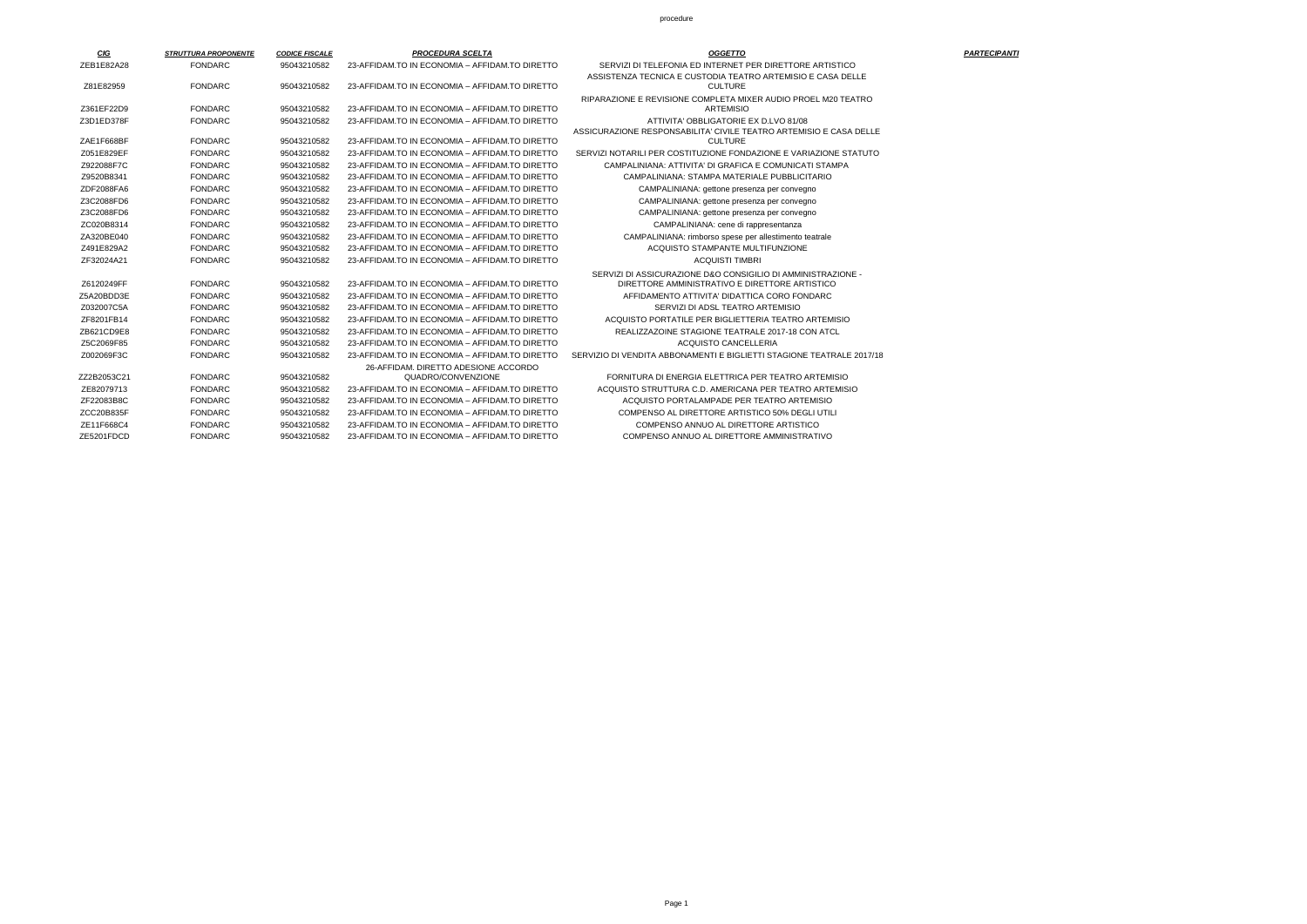| CIG         | <b>STRUTTURA PROPONENTE</b> | <b>CODICE FISCALE</b> | <b>PROCEDURA SCELTA</b>                        | <b>OGGETTO</b>                                                                                              | <b>PARTECIPANT</b> |  |
|-------------|-----------------------------|-----------------------|------------------------------------------------|-------------------------------------------------------------------------------------------------------------|--------------------|--|
| ZEB1E82A28  | <b>FONDARC</b>              | 95043210582           | 23-AFFIDAM.TO IN ECONOMIA - AFFIDAM.TO DIRETTO | SERVIZI DI TELEFONIA ED INTERNET PER DIRETTORE ARTISTICO                                                    |                    |  |
|             |                             |                       |                                                | ASSISTENZA TECNICA E CUSTODIA TEATRO ARTEMISIO E CASA DELLE                                                 |                    |  |
| Z81E82959   | <b>FONDARC</b>              | 95043210582           | 23-AFFIDAM.TO IN ECONOMIA - AFFIDAM.TO DIRETTO | <b>CULTURE</b>                                                                                              |                    |  |
|             |                             |                       |                                                | RIPARAZIONE E REVISIONE COMPLETA MIXER AUDIO PROEL M20 TEATRO                                               |                    |  |
| Z361EF22D9  | <b>FONDARC</b>              | 95043210582           | 23-AFFIDAM.TO IN ECONOMIA - AFFIDAM.TO DIRETTO | <b>ARTEMISIO</b>                                                                                            |                    |  |
| Z3D1ED378F  | <b>FONDARC</b>              | 95043210582           | 23-AFFIDAM.TO IN ECONOMIA - AFFIDAM.TO DIRETTO | ATTIVITA' OBBLIGATORIE EX D.LVO 81/08<br>ASSICURAZIONE RESPONSABILITA' CIVILE TEATRO ARTEMISIO E CASA DELLE |                    |  |
| ZAE1F668BF  | <b>FONDARC</b>              | 95043210582           | 23-AFFIDAM.TO IN ECONOMIA - AFFIDAM.TO DIRETTO | <b>CULTURE</b>                                                                                              |                    |  |
| Z051E829EF  | <b>FONDARC</b>              | 95043210582           | 23-AFFIDAM.TO IN ECONOMIA - AFFIDAM.TO DIRETTO | SERVIZI NOTARILI PER COSTITUZIONE FONDAZIONE E VARIAZIONE STATUTO                                           |                    |  |
| Z922088F7C  | <b>FONDARC</b>              | 95043210582           | 23-AFFIDAM.TO IN ECONOMIA - AFFIDAM.TO DIRETTO | CAMPALINIANA: ATTIVITA' DI GRAFICA E COMUNICATI STAMPA                                                      |                    |  |
| Z9520B8341  | <b>FONDARC</b>              | 95043210582           | 23-AFFIDAM.TO IN ECONOMIA - AFFIDAM.TO DIRETTO | CAMPALINIANA: STAMPA MATERIALE PUBBLICITARIO                                                                |                    |  |
| ZDF2088FA6  | <b>FONDARC</b>              | 95043210582           | 23-AFFIDAM.TO IN ECONOMIA - AFFIDAM.TO DIRETTO | CAMPALINIANA: gettone presenza per convegno                                                                 |                    |  |
| Z3C2088FD6  | <b>FONDARC</b>              | 95043210582           | 23-AFFIDAM.TO IN ECONOMIA - AFFIDAM.TO DIRETTO | CAMPALINIANA: gettone presenza per convegno                                                                 |                    |  |
| Z3C2088FD6  | <b>FONDARC</b>              | 95043210582           | 23-AFFIDAM.TO IN ECONOMIA - AFFIDAM.TO DIRETTO | CAMPALINIANA: gettone presenza per convegno                                                                 |                    |  |
| ZC020B8314  | <b>FONDARC</b>              | 95043210582           | 23-AFFIDAM.TO IN ECONOMIA - AFFIDAM.TO DIRETTO | CAMPALINIANA: cene di rappresentanza                                                                        |                    |  |
| ZA320BE040  | <b>FONDARC</b>              | 95043210582           | 23-AFFIDAM.TO IN ECONOMIA - AFFIDAM.TO DIRETTO | CAMPALINIANA: rimborso spese per allestimento teatrale                                                      |                    |  |
| Z491E829A2  | <b>FONDARC</b>              | 95043210582           | 23-AFFIDAM.TO IN ECONOMIA - AFFIDAM.TO DIRETTO | <b>ACQUISTO STAMPANTE MULTIFUNZIONE</b>                                                                     |                    |  |
| ZF32024A21  | <b>FONDARC</b>              | 95043210582           | 23-AFFIDAM.TO IN ECONOMIA - AFFIDAM.TO DIRETTO | <b>ACQUISTI TIMBRI</b>                                                                                      |                    |  |
|             |                             |                       |                                                | SERVIZI DI ASSICURAZIONE D&O CONSIGILIO DI AMMINISTRAZIONE -                                                |                    |  |
| Z6120249FF  | <b>FONDARC</b>              | 95043210582           | 23-AFFIDAM.TO IN ECONOMIA - AFFIDAM.TO DIRETTO | DIRETTORE AMMINISTRATIVO E DIRETTORE ARTISTICO                                                              |                    |  |
| Z5A20BDD3E  | <b>FONDARC</b>              | 95043210582           | 23-AFFIDAM.TO IN ECONOMIA - AFFIDAM.TO DIRETTO | AFFIDAMENTO ATTIVITA' DIDATTICA CORO FONDARC                                                                |                    |  |
| Z032007C5A  | <b>FONDARC</b>              | 95043210582           | 23-AFFIDAM.TO IN ECONOMIA - AFFIDAM.TO DIRETTO | SERVIZI DI ADSL TEATRO ARTEMISIO                                                                            |                    |  |
| ZF8201FB14  | <b>FONDARC</b>              | 95043210582           | 23-AFFIDAM.TO IN ECONOMIA - AFFIDAM.TO DIRETTO | ACQUISTO PORTATILE PER BIGLIETTERIA TEATRO ARTEMISIO                                                        |                    |  |
| ZB621CD9E8  | <b>FONDARC</b>              | 95043210582           | 23-AFFIDAM.TO IN ECONOMIA - AFFIDAM.TO DIRETTO | REALIZZAZOINE STAGIONE TEATRALE 2017-18 CON ATCL                                                            |                    |  |
| Z5C2069F85  | <b>FONDARC</b>              | 95043210582           | 23-AFFIDAM.TO IN ECONOMIA - AFFIDAM.TO DIRETTO | ACQUISTO CANCELLERIA                                                                                        |                    |  |
| Z002069F3C  | <b>FONDARC</b>              | 95043210582           | 23-AFFIDAM.TO IN ECONOMIA - AFFIDAM.TO DIRETTO | SERVIZIO DI VENDITA ABBONAMENTI E BIGLIETTI STAGIONE TEATRALE 2017/18                                       |                    |  |
|             |                             |                       | 26-AFFIDAM, DIRETTO ADESIONE ACCORDO           |                                                                                                             |                    |  |
| ZZ2B2053C21 | <b>FONDARC</b>              | 95043210582           | QUADRO/CONVENZIONE                             | FORNITURA DI ENERGIA ELETTRICA PER TEATRO ARTEMISIO                                                         |                    |  |
| ZE82079713  | <b>FONDARC</b>              | 95043210582           | 23-AFFIDAM.TO IN ECONOMIA - AFFIDAM.TO DIRETTO | ACQUISTO STRUTTURA C.D. AMERICANA PER TEATRO ARTEMISIO                                                      |                    |  |
| ZF22083B8C  | <b>FONDARC</b>              | 95043210582           | 23-AFFIDAM.TO IN ECONOMIA - AFFIDAM.TO DIRETTO | ACQUISTO PORTALAMPADE PER TEATRO ARTEMISIO                                                                  |                    |  |
| ZCC20B835F  | <b>FONDARC</b>              | 95043210582           | 23-AFFIDAM.TO IN ECONOMIA - AFFIDAM.TO DIRETTO | COMPENSO AL DIRETTORE ARTISTICO 50% DEGLI UTILI                                                             |                    |  |
| ZE11F668C4  | <b>FONDARC</b>              | 95043210582           | 23-AFFIDAM.TO IN ECONOMIA - AFFIDAM.TO DIRETTO | COMPENSO ANNUO AL DIRETTORE ARTISTICO                                                                       |                    |  |
| ZE5201FDCD  | <b>FONDARC</b>              | 95043210582           | 23-AFFIDAM.TO IN ECONOMIA - AFFIDAM.TO DIRETTO | COMPENSO ANNUO AL DIRETTORE AMMINISTRATIVO                                                                  |                    |  |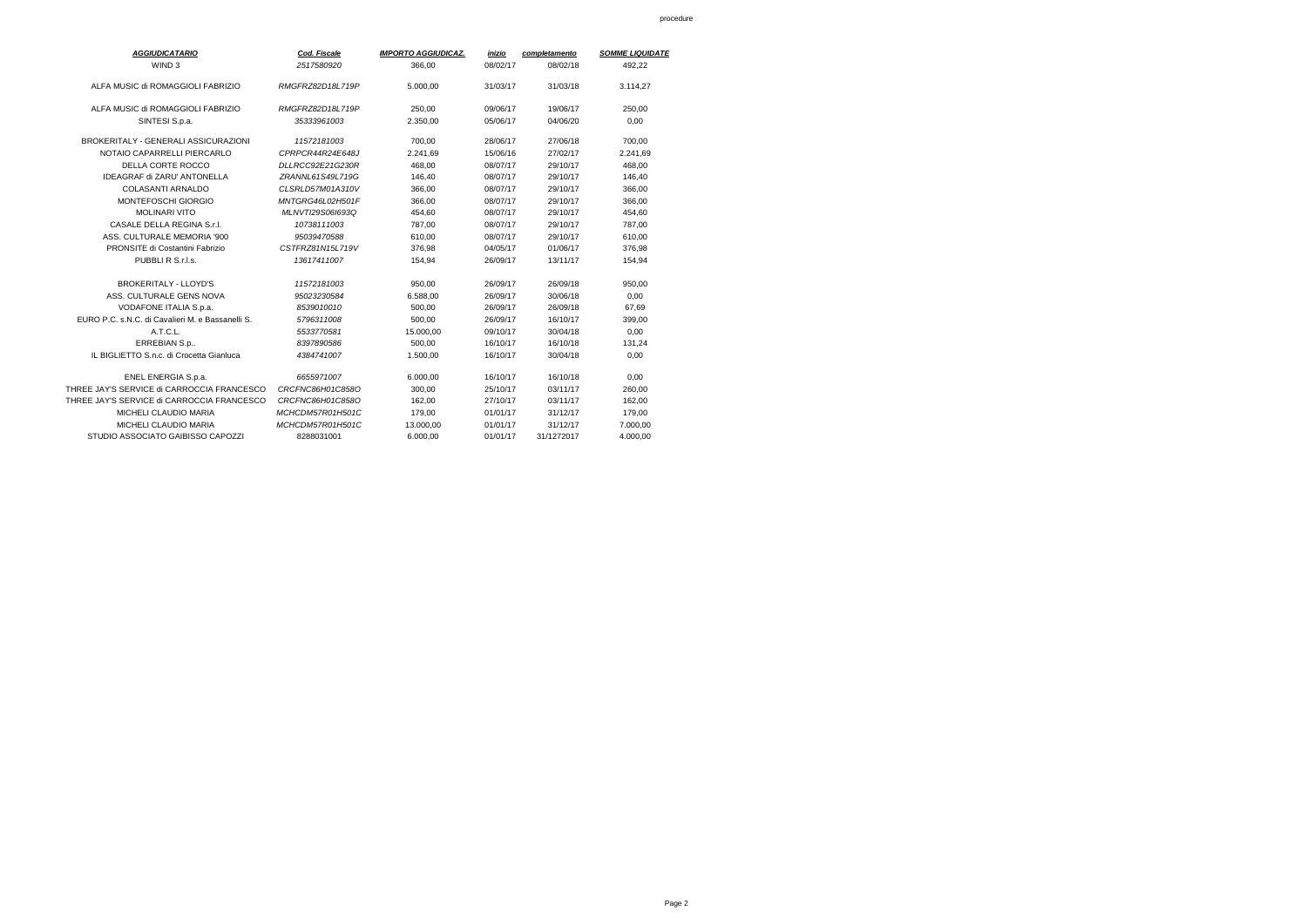| <b>AGGIUDICATARIO</b>                            | Cod. Fiscale     | <b>IMPORTO AGGIUDICAZ</b> | inizio   | completamento | <b>SOMME LIQUIDATE</b> |  |
|--------------------------------------------------|------------------|---------------------------|----------|---------------|------------------------|--|
| WIND <sub>3</sub>                                | 2517580920       | 366.00                    | 08/02/17 | 08/02/18      | 492.22                 |  |
| ALFA MUSIC di ROMAGGIOLI FABRIZIO                | RMGFRZ82D18L719P | 5.000.00                  | 31/03/17 | 31/03/18      | 3.114.27               |  |
| ALFA MUSIC di ROMAGGIOLI FABRIZIO                | RMGFRZ82D18L719P | 250.00                    | 09/06/17 | 19/06/17      | 250,00                 |  |
| SINTESI S.p.a.                                   | 35333961003      | 2.350,00                  | 05/06/17 | 04/06/20      | 0,00                   |  |
| BROKERITALY - GENERALI ASSICURAZIONI             | 11572181003      | 700.00                    | 28/06/17 | 27/06/18      | 700,00                 |  |
| NOTAIO CAPARRELLI PIERCARLO                      | CPRPCR44R24F648J | 2.241,69                  | 15/06/16 | 27/02/17      | 2.241,69               |  |
| DELLA CORTE ROCCO                                | DLLRCC92E21G230R | 468.00                    | 08/07/17 | 29/10/17      | 468,00                 |  |
| IDEAGRAF di ZARU' ANTONELLA                      | ZRANNL61S49L719G | 146.40                    | 08/07/17 | 29/10/17      | 146.40                 |  |
| <b>COLASANTI ARNALDO</b>                         | CLSRLD57M01A310V | 366.00                    | 08/07/17 | 29/10/17      | 366,00                 |  |
| MONTEFOSCHI GIORGIO                              | MNTGRG46L02H501F | 366,00                    | 08/07/17 | 29/10/17      | 366,00                 |  |
| <b>MOLINARI VITO</b>                             | MLNVTI29S06I693Q | 454,60                    | 08/07/17 | 29/10/17      | 454,60                 |  |
| CASALE DELLA REGINA S.r.I.                       | 10738111003      | 787.00                    | 08/07/17 | 29/10/17      | 787.00                 |  |
| ASS. CULTURALE MEMORIA '900                      | 95039470588      | 610.00                    | 08/07/17 | 29/10/17      | 610.00                 |  |
| PRONSITE di Costantini Fabrizio                  | CSTFRZ81N15L719V | 376,98                    | 04/05/17 | 01/06/17      | 376,98                 |  |
| PUBBLI R S.r.I.s.                                | 13617411007      | 154,94                    | 26/09/17 | 13/11/17      | 154,94                 |  |
| <b>BROKERITALY - LLOYD'S</b>                     | 11572181003      | 950.00                    | 26/09/17 | 26/09/18      | 950,00                 |  |
| ASS. CULTURALE GENS NOVA                         | 95023230584      | 6.588.00                  | 26/09/17 | 30/06/18      | 0,00                   |  |
| VODAFONE ITALIA S.p.a.                           | 8539010010       | 500.00                    | 26/09/17 | 26/09/18      | 67,69                  |  |
| EURO P.C. s.N.C. di Cavalieri M. e Bassanelli S. | 5796311008       | 500.00                    | 26/09/17 | 16/10/17      | 399.00                 |  |
| A.T.C.L.                                         | 5533770581       | 15.000,00                 | 09/10/17 | 30/04/18      | 0,00                   |  |
| ERREBIAN S.p                                     | 8397890586       | 500,00                    | 16/10/17 | 16/10/18      | 131,24                 |  |
| IL BIGLIETTO S.n.c. di Crocetta Gianluca         | 4384741007       | 1.500.00                  | 16/10/17 | 30/04/18      | 0.00                   |  |
| ENEL ENERGIA S.p.a.                              | 6655971007       | 6.000.00                  | 16/10/17 | 16/10/18      | 0,00                   |  |
| THREE JAY'S SERVICE di CARROCCIA FRANCESCO       | CRCFNC86H01C858O | 300.00                    | 25/10/17 | 03/11/17      | 260,00                 |  |
| THREE JAY'S SERVICE di CARROCCIA FRANCESCO       | CRCFNC86H01C858O | 162,00                    | 27/10/17 | 03/11/17      | 162,00                 |  |
| MICHELI CLAUDIO MARIA                            | MCHCDM57R01H501C | 179,00                    | 01/01/17 | 31/12/17      | 179,00                 |  |
| MICHELI CLAUDIO MARIA                            | MCHCDM57R01H501C | 13.000,00                 | 01/01/17 | 31/12/17      | 7.000,00               |  |
| STUDIO ASSOCIATO GAIBISSO CAPOZZI                | 8288031001       | 6.000.00                  | 01/01/17 | 31/1272017    | 4.000.00               |  |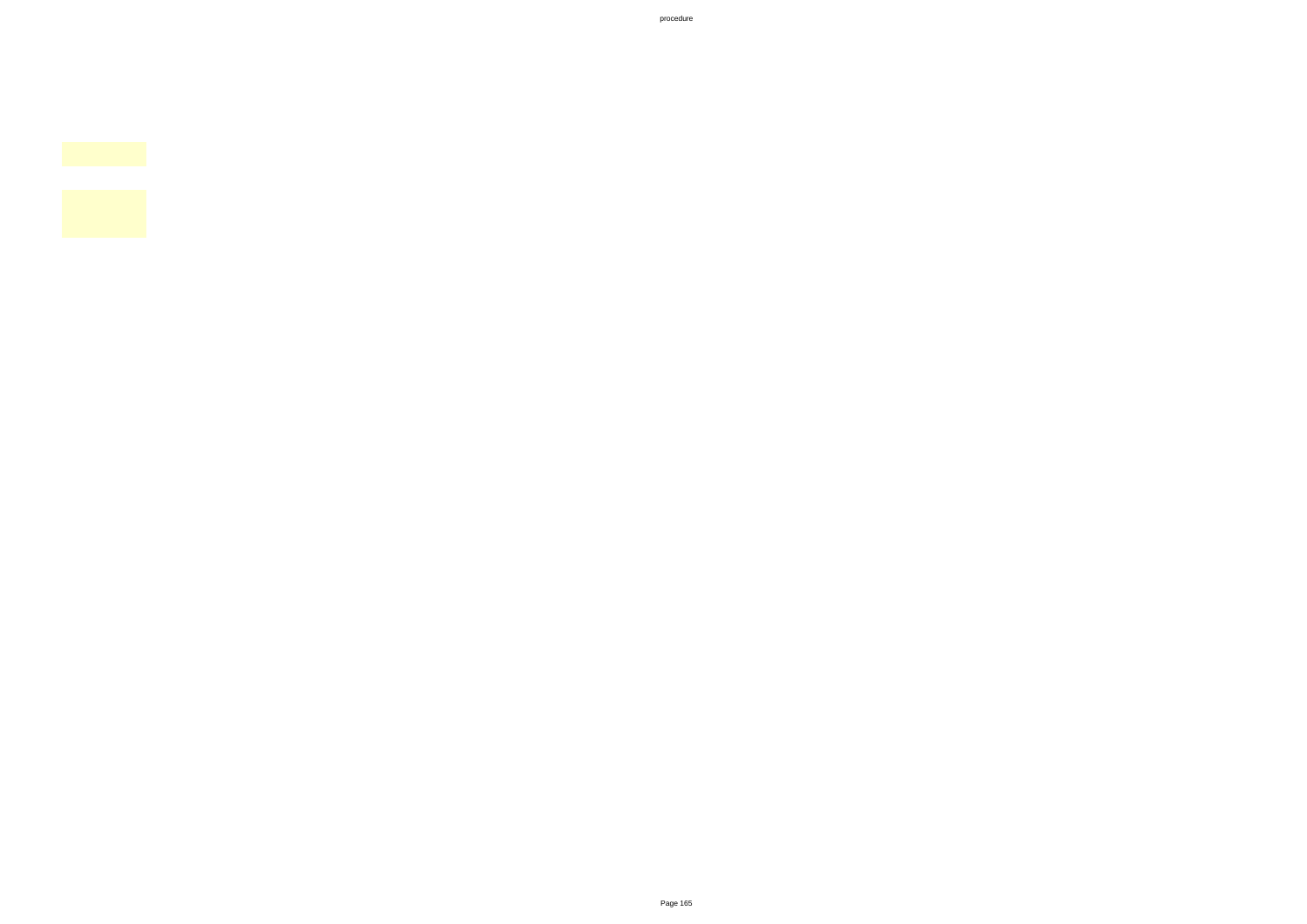